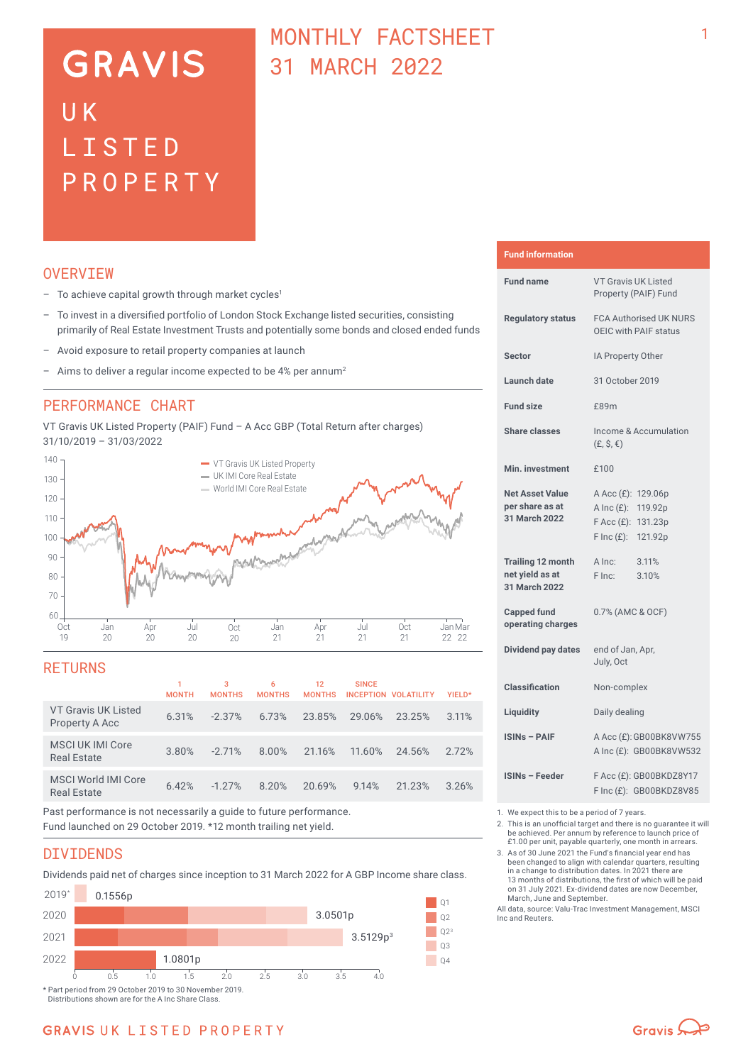# **GRAVIS** UK LISTED PROPERTY

# MONTHLY FACTSHEET 31 MARCH 2022

# **OVERVTEW**

- $-$  To achieve capital growth through market cycles<sup>1</sup>
- To invest in a diversified portfolio of London Stock Exchange listed securities, consisting primarily of Real Estate Investment Trusts and potentially some bonds and closed ended funds
- Avoid exposure to retail property companies at launch
- Aims to deliver a regular income expected to be 4% per annum<sup>2</sup>

### PERFORMANCE CHART

VT Gravis UK Listed Property (PAIF) Fund – A Acc GBP (Total Return after charges) 31/10/2019 – 31/03/2022



### RETURNS

|                                                  | <b>MONTH</b> | 3<br><b>MONTHS</b> | 6<br><b>MONTHS</b> | 12<br><b>MONTHS</b> | <b>SINCE</b> | INCEPTION VOLATILITY | YIELD* |
|--------------------------------------------------|--------------|--------------------|--------------------|---------------------|--------------|----------------------|--------|
| <b>VT Gravis UK Listed</b><br>Property A Acc     | 6.31%        | $-2.37\%$          | 6.73%              | 23.85%              | 29.06%       | 23.25%               | 3.11%  |
| MSCI UK IMI Core<br><b>Real Estate</b>           | 3.80%        | $-2.71%$           | 8.00%              | 21.16%              | 11.60%       | 24.56%               | 2.72%  |
| <b>MSCI World IMI Core</b><br><b>Real Estate</b> | 6.42%        | $-1.27%$           | 8.20%              | 20.69%              | 9.14%        | 21.23%               | 3.26%  |
|                                                  |              |                    |                    |                     |              |                      |        |

Past performance is not necessarily a guide to future performance. Fund launched on 29 October 2019. \*12 month trailing net yield.

### DIVIDENDS

Dividends paid net of charges since inception to 31 March 2022 for A GBP Income share class.



Distributions shown are for the A Inc Share Class.

#### **Fund information**

| <b>Fund name</b>                                             | <b>VT Gravis UK Listed</b><br>Property (PAIF) Fund                                                             |  |  |  |
|--------------------------------------------------------------|----------------------------------------------------------------------------------------------------------------|--|--|--|
| <b>Regulatory status</b>                                     | <b>FCA Authorised UK NURS</b><br>OEIC with PAIF status                                                         |  |  |  |
| Sector                                                       | IA Property Other                                                                                              |  |  |  |
| Launch date                                                  | 31 October 2019                                                                                                |  |  |  |
| <b>Fund size</b>                                             | £89m                                                                                                           |  |  |  |
| <b>Share classes</b>                                         | Income & Accumulation<br>$(E, \hat{S}, \epsilon)$                                                              |  |  |  |
| Min. investment                                              | £100                                                                                                           |  |  |  |
| <b>Net Asset Value</b><br>per share as at<br>31 March 2022   | A Acc (£): 129.06p<br>A Inc $(E)$ :<br>119.92p<br>$F$ Acc $(E)$ :<br>131.23p<br>$F \text{Inc}(f)$ :<br>121.92p |  |  |  |
| <b>Trailing 12 month</b><br>net yield as at<br>31 March 2022 | A Inc:<br>3.11%<br>F Inc:<br>3.10%                                                                             |  |  |  |
| <b>Capped fund</b><br>operating charges                      | 0.7% (AMC & OCF)                                                                                               |  |  |  |
| Dividend pay dates                                           | end of Jan, Apr,<br>July, Oct                                                                                  |  |  |  |
| <b>Classification</b>                                        | Non-complex                                                                                                    |  |  |  |
| Liquidity                                                    | Daily dealing                                                                                                  |  |  |  |
| <b>ISINs - PAIF</b>                                          | A Acc (£): GB00BK8VW755<br>A Inc (£): GB00BK8VW532                                                             |  |  |  |
| ISINs - Feeder                                               | F Acc (£): GB00BKDZ8Y17<br>F Inc (£): GB00BKDZ8V85                                                             |  |  |  |

1. We expect this to be a period of 7 years.<br>2. This is an unofficial target and there is n

2. This is an unofficial target and there is no guarantee it will be achieved. Per annum by reference to launch price of £1.00 per unit, payable quarterly, one month in arrears.

3. As of 30 June 2021 the Fund's financial year end has been changed to align with calendar quarters, resulting in a change to distribution dates. In 2021 there are 13 months of distributions, the first of which will be paid on 31 July 2021. Ex-dividend dates are now December, March, June and September.

All data, source: Valu-Trac Investment Management, MSCI Inc and Reuters.

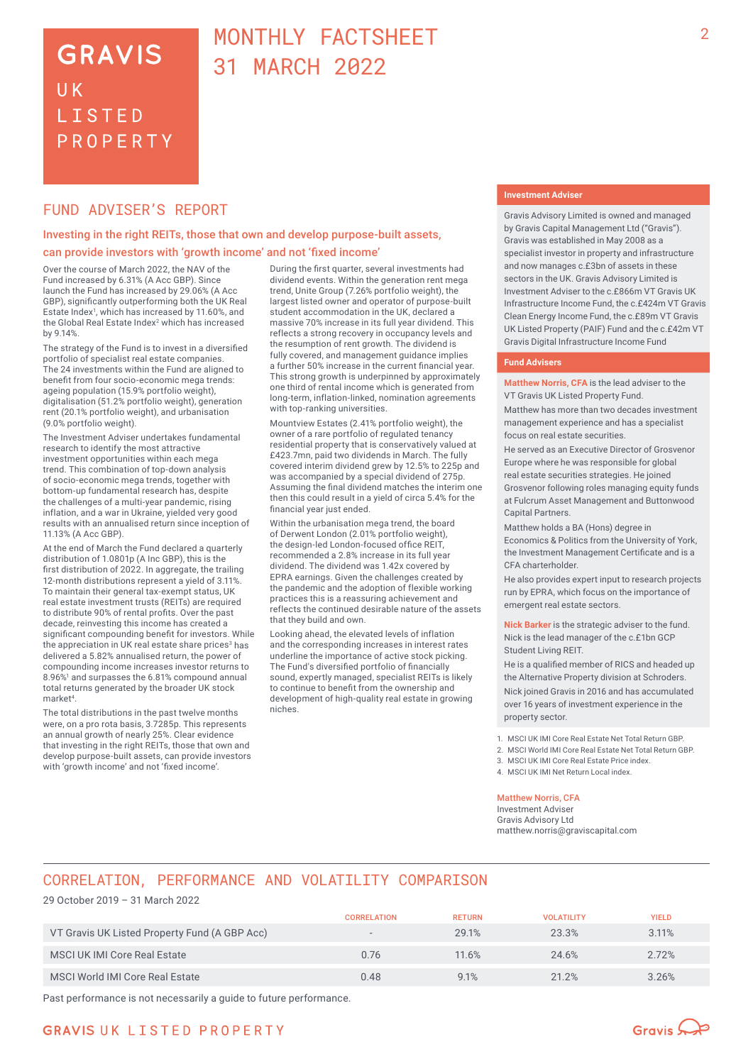# **GRAVIS** UK **LISTED** PROPERTY

# MONTHLY FACTSHEET 31 MARCH 2022

### FUND ADVISER'S REPORT

### Investing in the right REITs, those that own and develop purpose-built assets, can provide investors with 'growth income' and not 'fixed income'

Over the course of March 2022, the NAV of the Fund increased by 6.31% (A Acc GBP). Since launch the Fund has increased by 29.06% (A Acc GBP), significantly outperforming both the UK Real Estate Index<sup>1</sup>, which has increased by 11.60%, and the Global Real Estate Index<sup>2</sup> which has increased by 9.14%.

The strategy of the Fund is to invest in a diversified portfolio of specialist real estate companies. The 24 investments within the Fund are aligned to benefit from four socio-economic mega trends: ageing population (15.9% portfolio weight), digitalisation (51.2% portfolio weight), generation rent (20.1% portfolio weight), and urbanisation (9.0% portfolio weight).

The Investment Adviser undertakes fundamental research to identify the most attractive investment opportunities within each mega trend. This combination of top-down analysis of socio‑economic mega trends, together with bottom-up fundamental research has, despite the challenges of a multi-year pandemic, rising inflation, and a war in Ukraine, yielded very good results with an annualised return since inception of 11.13% (A Acc GBP).

At the end of March the Fund declared a quarterly distribution of 1.0801p (A Inc GBP), this is the first distribution of 2022. In aggregate, the trailing 12-month distributions represent a yield of 3.11%. To maintain their general tax-exempt status, UK real estate investment trusts (REITs) are required to distribute 90% of rental profits. Over the past decade, reinvesting this income has created a significant compounding benefit for investors. While the appreciation in UK real estate share prices<sup>3</sup> has delivered a 5.82% annualised return, the power of compounding income increases investor returns to 8.96%<sup>1</sup> and surpasses the 6.81% compound annual total returns generated by the broader UK stock market<sup>4</sup>

The total distributions in the past twelve months were, on a pro rota basis, 3.7285p. This represents an annual growth of nearly 25%. Clear evidence that investing in the right REITs, those that own and develop purpose-built assets, can provide investors with 'growth income' and not 'fixed income'.

During the first quarter, several investments had dividend events. Within the generation rent mega trend, Unite Group (7.26% portfolio weight), the largest listed owner and operator of purpose-built student accommodation in the UK, declared a massive 70% increase in its full year dividend. This reflects a strong recovery in occupancy levels and the resumption of rent growth. The dividend is fully covered, and management guidance implies a further 50% increase in the current financial year. This strong growth is underpinned by approximately one third of rental income which is generated from long-term, inflation-linked, nomination agreements with top-ranking universities.

Mountview Estates (2.41% portfolio weight), the owner of a rare portfolio of regulated tenancy residential property that is conservatively valued at £423.7mn, paid two dividends in March. The fully covered interim dividend grew by 12.5% to 225p and was accompanied by a special dividend of 275p. Assuming the final dividend matches the interim one then this could result in a yield of circa 5.4% for the financial year just ended.

Within the urbanisation mega trend, the board of Derwent London (2.01% portfolio weight), the design-led London-focused office REIT, recommended a 2.8% increase in its full year dividend. The dividend was 1.42x covered by EPRA earnings. Given the challenges created by the pandemic and the adoption of flexible working practices this is a reassuring achievement and reflects the continued desirable nature of the assets that they build and own.

Looking ahead, the elevated levels of inflation and the corresponding increases in interest rates underline the importance of active stock picking. The Fund's diversified portfolio of financially sound, expertly managed, specialist REITs is likely to continue to benefit from the ownership and development of high-quality real estate in growing niches.

#### **Investment Adviser**

Gravis Advisory Limited is owned and managed by Gravis Capital Management Ltd ("Gravis"). Gravis was established in May 2008 as a specialist investor in property and infrastructure and now manages c.£3bn of assets in these sectors in the UK. Gravis Advisory Limited is Investment Adviser to the c.£866m VT Gravis UK Infrastructure Income Fund, the c.£424m VT Gravis Clean Energy Income Fund, the c.£89m VT Gravis UK Listed Property (PAIF) Fund and the c.£42m VT Gravis Digital Infrastructure Income Fund

#### **Fund Advisers**

**Matthew Norris, CFA** is the lead adviser to the VT Gravis UK Listed Property Fund.

Matthew has more than two decades investment management experience and has a specialist focus on real estate securities.

He served as an Executive Director of Grosvenor Europe where he was responsible for global real estate securities strategies. He joined Grosvenor following roles managing equity funds at Fulcrum Asset Management and Buttonwood Capital Partners.

Matthew holds a BA (Hons) degree in Economics & Politics from the University of York, the Investment Management Certificate and is a CFA charterholder.

He also provides expert input to research projects run by EPRA, which focus on the importance of emergent real estate sectors.

**Nick Barker** is the strategic adviser to the fund. Nick is the lead manager of the c.£1bn GCP Student Living REIT.

He is a qualified member of RICS and headed up the Alternative Property division at Schroders. Nick joined Gravis in 2016 and has accumulated over 16 years of investment experience in the property sector.

1. MSCI UK IMI Core Real Estate Net Total Return GBP.

2. MSCI World IMI Core Real Estate Net Total Return GBP.

3. MSCI UK IMI Core Real Estate Price index.

4. MSCI UK IMI Net Return Local index.

#### Matthew Norris, CFA

Investment Adviser Gravis Advisory Ltd matthew.norris@graviscapital.com

# CORRELATION, PERFORMANCE AND VOLATILITY COMPARISON

#### 29 October 2019 – 31 March 2022

|                                               | <b>CORRELATION</b>       | <b>RETURN</b> | <b>VOLATILITY</b> | <b>YIELD</b> |
|-----------------------------------------------|--------------------------|---------------|-------------------|--------------|
| VT Gravis UK Listed Property Fund (A GBP Acc) | $\overline{\phantom{a}}$ | 29.1%         | 23.3%             | 3.11%        |
| MSCI UK IMI Core Real Estate                  | 0.76                     | 11.6%         | 24.6%             | 2.72%        |
| MSCI World IMI Core Real Estate               | 0.48                     | 9.1%          | 21.2%             | 3.26%        |

Past performance is not necessarily a guide to future performance.